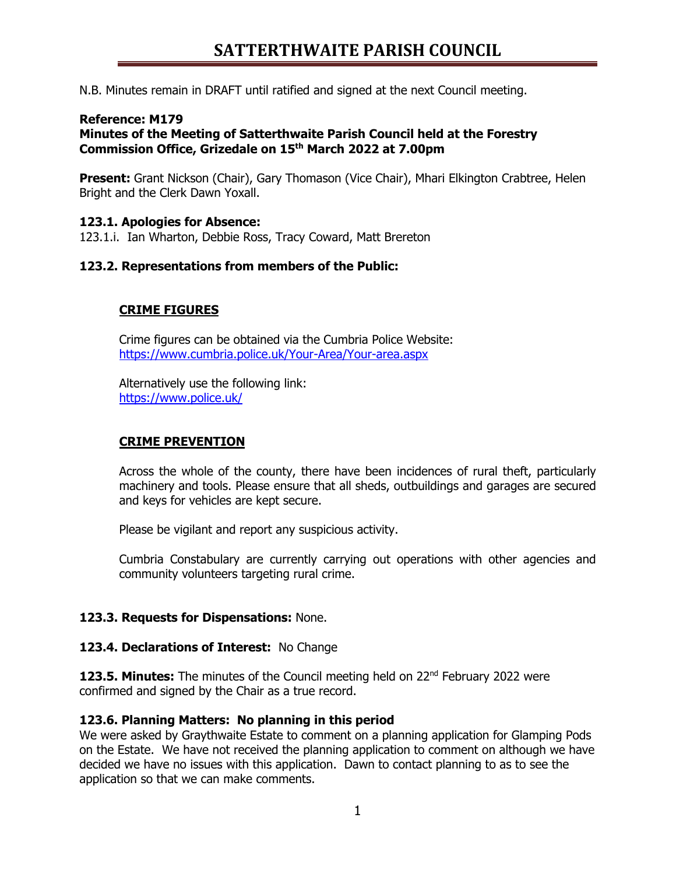## **SATTERTHWAITE PARISH COUNCIL**

N.B. Minutes remain in DRAFT until ratified and signed at the next Council meeting.

### **Reference: M179**

**Minutes of the Meeting of Satterthwaite Parish Council held at the Forestry Commission Office, Grizedale on 15th March 2022 at 7.00pm**

**Present:** Grant Nickson (Chair), Gary Thomason (Vice Chair), Mhari Elkington Crabtree, Helen Bright and the Clerk Dawn Yoxall.

### **123.1. Apologies for Absence:**

123.1.i. Ian Wharton, Debbie Ross, Tracy Coward, Matt Brereton

### **123.2. Representations from members of the Public:**

### **CRIME FIGURES**

Crime figures can be obtained via the Cumbria Police Website: <https://www.cumbria.police.uk/Your-Area/Your-area.aspx>

Alternatively use the following link: <https://www.police.uk/>

### **CRIME PREVENTION**

Across the whole of the county, there have been incidences of rural theft, particularly machinery and tools. Please ensure that all sheds, outbuildings and garages are secured and keys for vehicles are kept secure.

Please be vigilant and report any suspicious activity.

Cumbria Constabulary are currently carrying out operations with other agencies and community volunteers targeting rural crime.

### **123.3. Requests for Dispensations:** None.

### **123.4. Declarations of Interest:** No Change

**123.5. Minutes:** The minutes of the Council meeting held on 22<sup>nd</sup> February 2022 were confirmed and signed by the Chair as a true record.

### **123.6. Planning Matters: No planning in this period**

We were asked by Graythwaite Estate to comment on a planning application for Glamping Pods on the Estate. We have not received the planning application to comment on although we have decided we have no issues with this application. Dawn to contact planning to as to see the application so that we can make comments.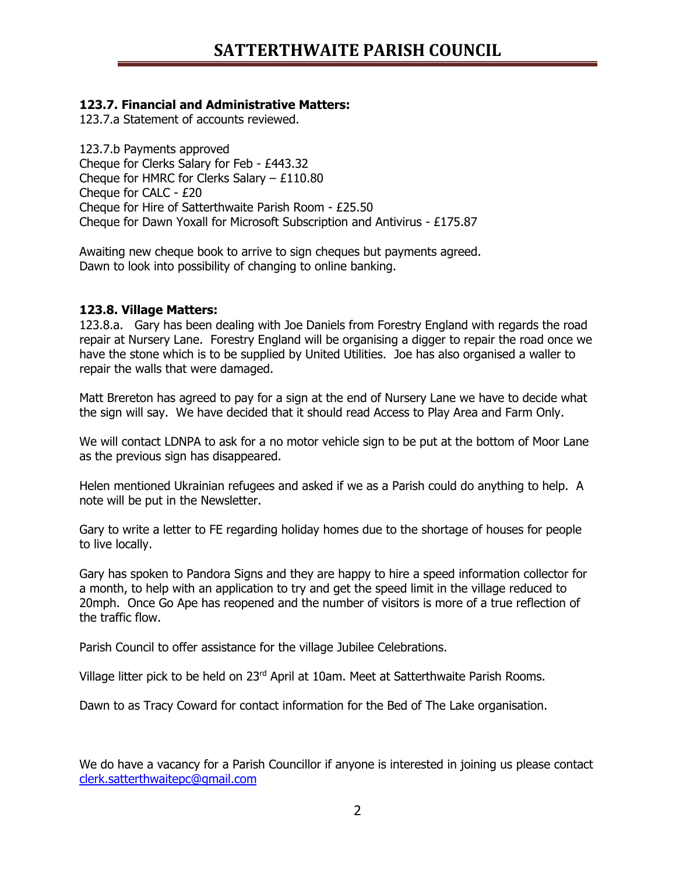## **123.7. Financial and Administrative Matters:**

123.7.a Statement of accounts reviewed.

123.7.b Payments approved Cheque for Clerks Salary for Feb - £443.32 Cheque for HMRC for Clerks Salary – £110.80 Cheque for CALC - £20 Cheque for Hire of Satterthwaite Parish Room - £25.50 Cheque for Dawn Yoxall for Microsoft Subscription and Antivirus - £175.87

Awaiting new cheque book to arrive to sign cheques but payments agreed. Dawn to look into possibility of changing to online banking.

### **123.8. Village Matters:**

123.8.a. Gary has been dealing with Joe Daniels from Forestry England with regards the road repair at Nursery Lane. Forestry England will be organising a digger to repair the road once we have the stone which is to be supplied by United Utilities. Joe has also organised a waller to repair the walls that were damaged.

Matt Brereton has agreed to pay for a sign at the end of Nursery Lane we have to decide what the sign will say. We have decided that it should read Access to Play Area and Farm Only.

We will contact LDNPA to ask for a no motor vehicle sign to be put at the bottom of Moor Lane as the previous sign has disappeared.

Helen mentioned Ukrainian refugees and asked if we as a Parish could do anything to help. A note will be put in the Newsletter.

Gary to write a letter to FE regarding holiday homes due to the shortage of houses for people to live locally.

Gary has spoken to Pandora Signs and they are happy to hire a speed information collector for a month, to help with an application to try and get the speed limit in the village reduced to 20mph. Once Go Ape has reopened and the number of visitors is more of a true reflection of the traffic flow.

Parish Council to offer assistance for the village Jubilee Celebrations.

Village litter pick to be held on 23<sup>rd</sup> April at 10am. Meet at Satterthwaite Parish Rooms.

Dawn to as Tracy Coward for contact information for the Bed of The Lake organisation.

We do have a vacancy for a Parish Councillor if anyone is interested in joining us please contact [clerk.satterthwaitepc@gmail.com](mailto:clerk.satterthwaitepc@gmail.com)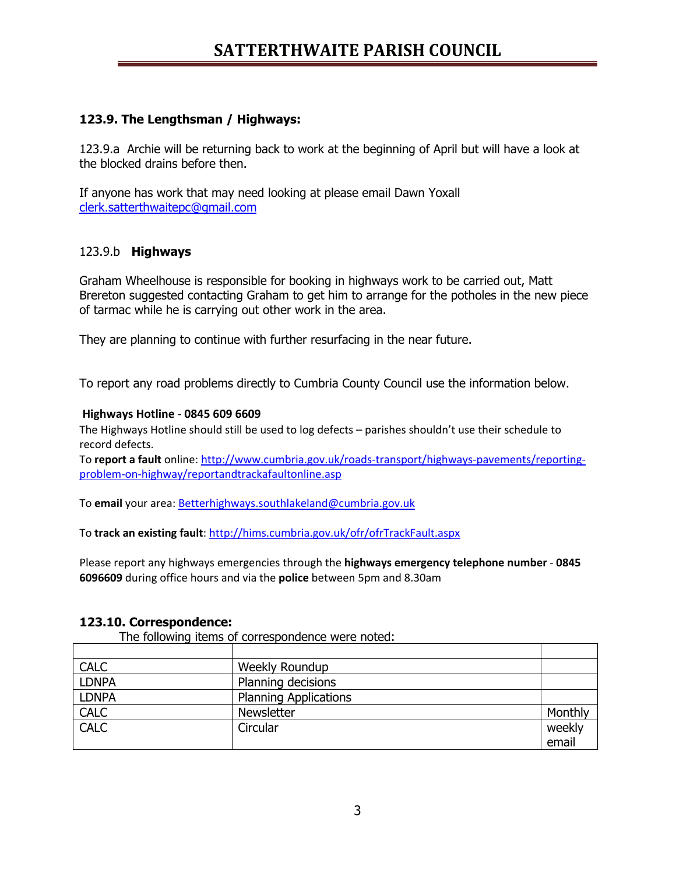# **SATTERTHWAITE PARISH COUNCIL**

### **123.9. The Lengthsman / Highways:**

123.9.a Archie will be returning back to work at the beginning of April but will have a look at the blocked drains before then.

If anyone has work that may need looking at please email Dawn Yoxall [clerk.satterthwaitepc@gmail.com](mailto:clerk.satterthwaitepc@gmail.com)

### 123.9.b **Highways**

Graham Wheelhouse is responsible for booking in highways work to be carried out, Matt Brereton suggested contacting Graham to get him to arrange for the potholes in the new piece of tarmac while he is carrying out other work in the area.

They are planning to continue with further resurfacing in the near future.

To report any road problems directly to Cumbria County Council use the information below.

#### **Highways Hotline** - **0845 609 6609**

The Highways Hotline should still be used to log defects – parishes shouldn't use their schedule to record defects.

To **report a fault** online: [http://www.cumbria.gov.uk/roads-transport/highways-pavements/reporting](http://www.cumbria.gov.uk/roads-transport/highways-pavements/reporting-problem-on-highway/reportandtrackafaultonline.asp)[problem-on-highway/reportandtrackafaultonline.asp](http://www.cumbria.gov.uk/roads-transport/highways-pavements/reporting-problem-on-highway/reportandtrackafaultonline.asp)

To **email** your area: [Betterhighways.southlakeland@cumbria.gov.uk](mailto:Betterhighways.southlakeland@cumbria.gov.uk)

To track an existing fault: <http://hims.cumbria.gov.uk/ofr/ofrTrackFault.aspx>

Please report any highways emergencies through the **highways emergency telephone number** - **0845 6096609** during office hours and via the **police** between 5pm and 8.30am

#### **123.10. Correspondence:**

The following items of correspondence were noted:

| <b>CALC</b>  | <b>Weekly Roundup</b>        |         |
|--------------|------------------------------|---------|
| <b>LDNPA</b> | Planning decisions           |         |
| <b>LDNPA</b> | <b>Planning Applications</b> |         |
| <b>CALC</b>  | Newsletter                   | Monthly |
| <b>CALC</b>  | Circular                     | weekly  |
|              |                              | email   |